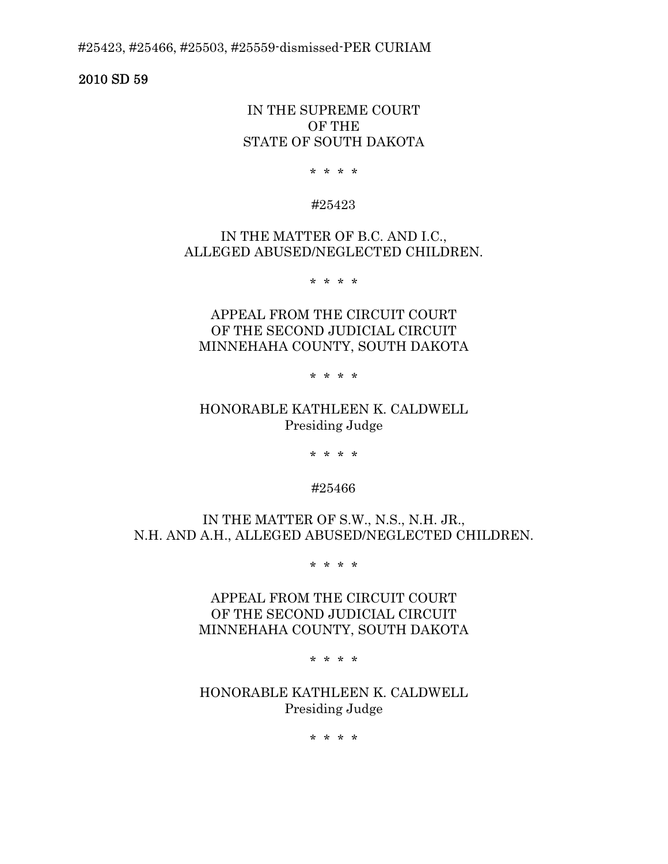#25423, #25466, #25503, #25559-dismissed-PER CURIAM

2010 SD 59

## IN THE SUPREME COURT OF THE STATE OF SOUTH DAKOTA

\* \* \* \*

### #25423

# IN THE MATTER OF B.C. AND I.C., ALLEGED ABUSED/NEGLECTED CHILDREN.

\* \* \* \*

# APPEAL FROM THE CIRCUIT COURT OF THE SECOND JUDICIAL CIRCUIT MINNEHAHA COUNTY, SOUTH DAKOTA

\* \* \* \*

# HONORABLE KATHLEEN K. CALDWELL Presiding Judge

\* \* \* \*

### #25466

IN THE MATTER OF S.W., N.S., N.H. JR., N.H. AND A.H., ALLEGED ABUSED/NEGLECTED CHILDREN.

\* \* \* \*

APPEAL FROM THE CIRCUIT COURT OF THE SECOND JUDICIAL CIRCUIT MINNEHAHA COUNTY, SOUTH DAKOTA

\* \* \* \*

HONORABLE KATHLEEN K. CALDWELL Presiding Judge

\* \* \* \*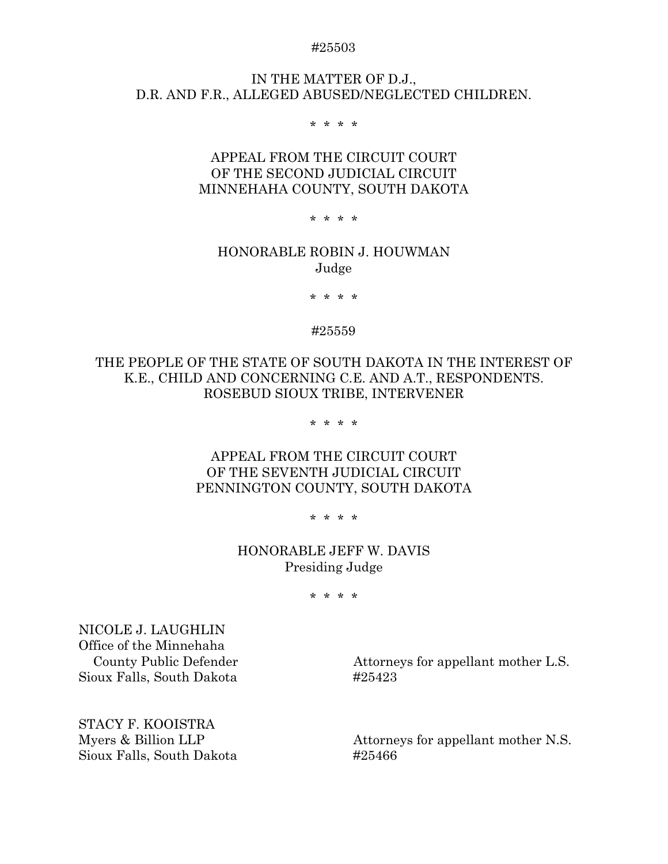#### #25503

## IN THE MATTER OF D.J., D.R. AND F.R., ALLEGED ABUSED/NEGLECTED CHILDREN.

\* \* \* \*

# APPEAL FROM THE CIRCUIT COURT OF THE SECOND JUDICIAL CIRCUIT MINNEHAHA COUNTY, SOUTH DAKOTA

\* \* \* \*

### HONORABLE ROBIN J. HOUWMAN Judge

\* \* \* \*

#### #25559

THE PEOPLE OF THE STATE OF SOUTH DAKOTA IN THE INTEREST OF K.E., CHILD AND CONCERNING C.E. AND A.T., RESPONDENTS. ROSEBUD SIOUX TRIBE, INTERVENER

\* \* \* \*

# APPEAL FROM THE CIRCUIT COURT OF THE SEVENTH JUDICIAL CIRCUIT PENNINGTON COUNTY, SOUTH DAKOTA

\* \* \* \*

# HONORABLE JEFF W. DAVIS Presiding Judge

\* \* \* \*

NICOLE J. LAUGHLIN Office of the Minnehaha Sioux Falls, South Dakota #25423

County Public Defender Attorneys for appellant mother L.S.

STACY F. KOOISTRA Sioux Falls, South Dakota #25466

Myers & Billion LLP Attorneys for appellant mother N.S.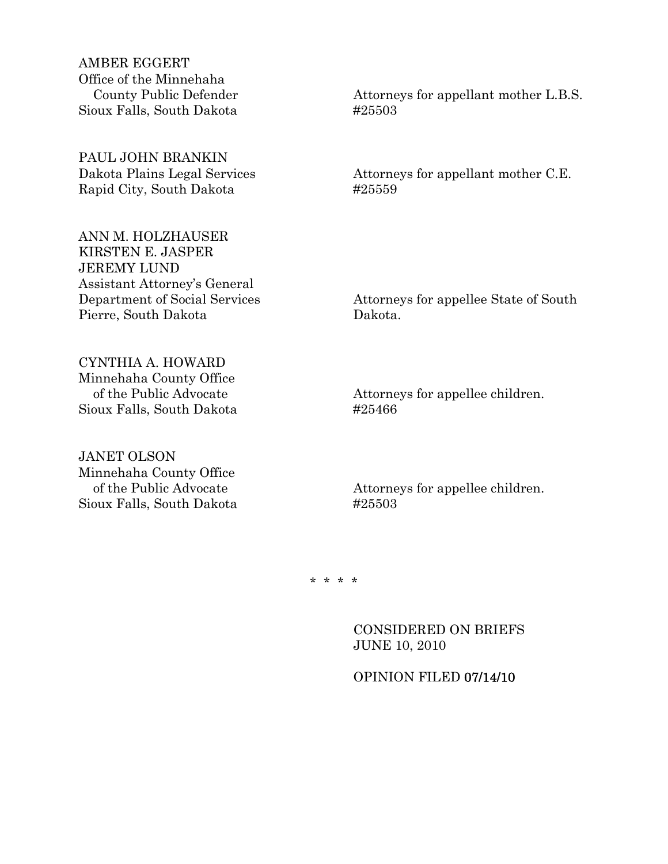AMBER EGGERT Office of the Minnehaha Sioux Falls, South Dakota #25503

PAUL JOHN BRANKIN Rapid City, South Dakota #25559

ANN M. HOLZHAUSER KIRSTEN E. JASPER JEREMY LUND Assistant Attorney's General Pierre, South Dakota Dakota.

County Public Defender Attorneys for appellant mother L.B.S.

Dakota Plains Legal Services Attorneys for appellant mother C.E.

Department of Social Services Attorneys for appellee State of South

CYNTHIA A. HOWARD Minnehaha County Office Sioux Falls, South Dakota #25466

JANET OLSON Minnehaha County Office Sioux Falls, South Dakota #25503

of the Public Advocate Attorneys for appellee children.

of the Public Advocate Attorneys for appellee children.

\* \* \* \*

 CONSIDERED ON BRIEFS JUNE 10, 2010

## OPINION FILED 07/14/10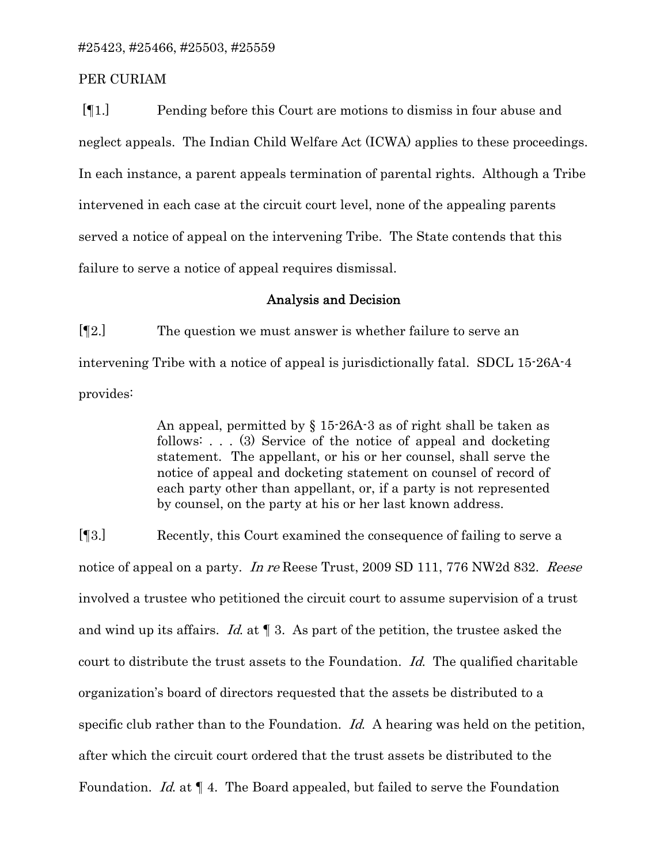### PER CURIAM

 [¶1.] Pending before this Court are motions to dismiss in four abuse and neglect appeals. The Indian Child Welfare Act (ICWA) applies to these proceedings. In each instance, a parent appeals termination of parental rights. Although a Tribe intervened in each case at the circuit court level, none of the appealing parents served a notice of appeal on the intervening Tribe. The State contends that this failure to serve a notice of appeal requires dismissal.

### Analysis and Decision

[¶2.] The question we must answer is whether failure to serve an intervening Tribe with a notice of appeal is jurisdictionally fatal. SDCL 15-26A-4 provides:

> An appeal, permitted by § 15-26A-3 as of right shall be taken as follows: . . . (3) Service of the notice of appeal and docketing statement. The appellant, or his or her counsel, shall serve the notice of appeal and docketing statement on counsel of record of each party other than appellant, or, if a party is not represented by counsel, on the party at his or her last known address.

[¶3.] Recently, this Court examined the consequence of failing to serve a notice of appeal on a party. In re Reese Trust, 2009 SD 111, 776 NW2d 832. Reese involved a trustee who petitioned the circuit court to assume supervision of a trust and wind up its affairs. Id. at  $\P$  3. As part of the petition, the trustee asked the court to distribute the trust assets to the Foundation. Id. The qualified charitable organization's board of directors requested that the assets be distributed to a specific club rather than to the Foundation. Id. A hearing was held on the petition, after which the circuit court ordered that the trust assets be distributed to the Foundation. *Id.* at  $\P$  4. The Board appealed, but failed to serve the Foundation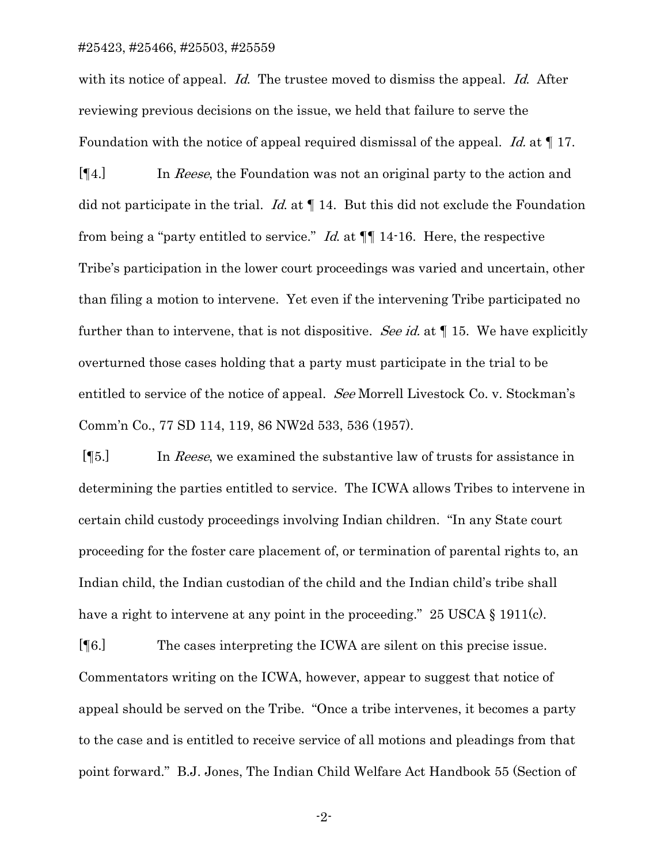#### #25423, #25466, #25503, #25559

with its notice of appeal. Id. The trustee moved to dismiss the appeal. Id. After reviewing previous decisions on the issue, we held that failure to serve the Foundation with the notice of appeal required dismissal of the appeal. Id. at  $\P$  17.

[¶4.] In Reese, the Foundation was not an original party to the action and did not participate in the trial. Id. at  $\P$  14. But this did not exclude the Foundation from being a "party entitled to service." *Id.* at  $\P$  14-16. Here, the respective Tribe's participation in the lower court proceedings was varied and uncertain, other than filing a motion to intervene. Yet even if the intervening Tribe participated no further than to intervene, that is not dispositive. See id. at  $\P$  15. We have explicitly overturned those cases holding that a party must participate in the trial to be entitled to service of the notice of appeal. *See* Morrell Livestock Co. v. Stockman's Comm'n Co., 77 SD 114, 119, 86 NW2d 533, 536 (1957).

 [¶5.] In Reese, we examined the substantive law of trusts for assistance in determining the parties entitled to service. The ICWA allows Tribes to intervene in certain child custody proceedings involving Indian children. "In any State court proceeding for the foster care placement of, or termination of parental rights to, an Indian child, the Indian custodian of the child and the Indian child's tribe shall have a right to intervene at any point in the proceeding." 25 USCA § 1911(c).

[¶6.] The cases interpreting the ICWA are silent on this precise issue. Commentators writing on the ICWA, however, appear to suggest that notice of appeal should be served on the Tribe. "Once a tribe intervenes, it becomes a party to the case and is entitled to receive service of all motions and pleadings from that point forward." B.J. Jones, The Indian Child Welfare Act Handbook 55 (Section of

-2-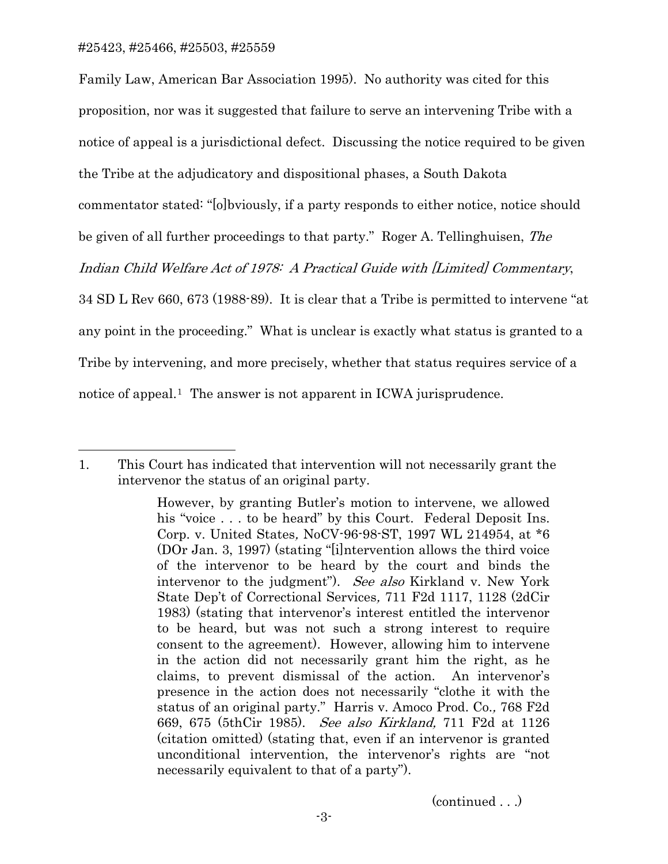$\overline{a}$ 

Family Law, American Bar Association 1995). No authority was cited for this proposition, nor was it suggested that failure to serve an intervening Tribe with a notice of appeal is a jurisdictional defect. Discussing the notice required to be given the Tribe at the adjudicatory and dispositional phases, a South Dakota commentator stated: "[o]bviously, if a party responds to either notice, notice should be given of all further proceedings to that party." Roger A. Tellinghuisen, The Indian Child Welfare Act of 1978: A Practical Guide with [Limited] Commentary, 34 SD L Rev 660, 673 (1988-89). It is clear that a Tribe is permitted to intervene "at any point in the proceeding." What is unclear is exactly what status is granted to a Tribe by intervening, and more precisely, whether that status requires service of a notice of appeal.<sup>[1](#page-5-0)</sup> The answer is not apparent in ICWA jurisprudence.

(continued . . .)

<span id="page-5-0"></span><sup>1.</sup> This Court has indicated that intervention will not necessarily grant the intervenor the status of an original party.

However, by granting Butler's motion to intervene, we allowed his "voice . . . to be heard" by this Court. Federal Deposit Ins. Corp. v. United States, NoCV-96-98-ST, 1997 WL 214954, at \*6 (DOr Jan. 3, 1997) (stating "[i]ntervention allows the third voice of the intervenor to be heard by the court and binds the intervenor to the judgment"). See also Kirkland v. New York State Dep't of Correctional Services, 711 F2d 1117, 1128 (2dCir 1983) (stating that intervenor's interest entitled the intervenor to be heard, but was not such a strong interest to require consent to the agreement). However, allowing him to intervene in the action did not necessarily grant him the right, as he claims, to prevent dismissal of the action. An intervenor's presence in the action does not necessarily "clothe it with the status of an original party." Harris v. Amoco Prod. Co., 768 F2d 669, 675 (5thCir 1985). See also Kirkland, 711 F2d at 1126 (citation omitted) (stating that, even if an intervenor is granted unconditional intervention, the intervenor's rights are "not necessarily equivalent to that of a party").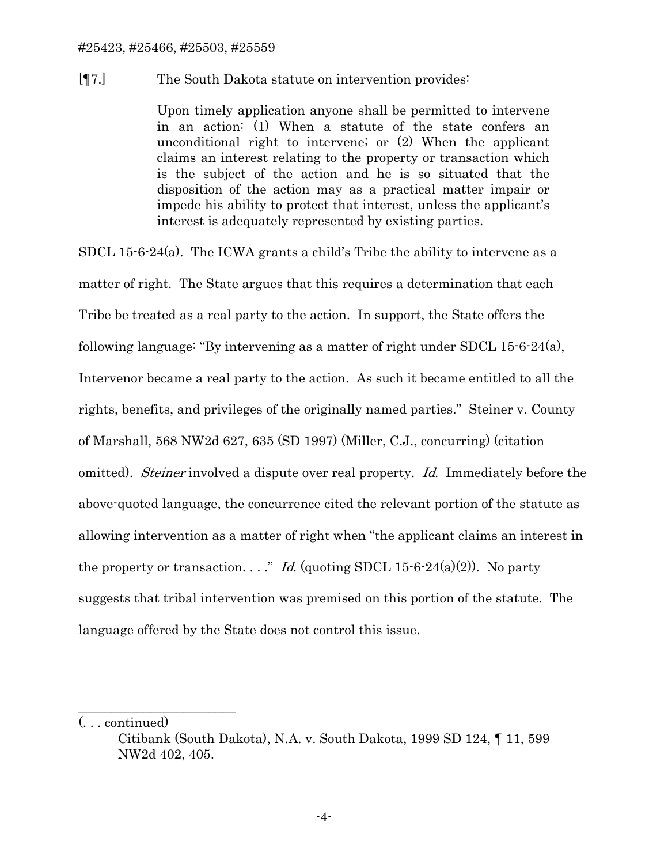### #25423, #25466, #25503, #25559

## [¶7.] The South Dakota statute on intervention provides:

Upon timely application anyone shall be permitted to intervene in an action: (1) When a statute of the state confers an unconditional right to intervene; or (2) When the applicant claims an interest relating to the property or transaction which is the subject of the action and he is so situated that the disposition of the action may as a practical matter impair or impede his ability to protect that interest, unless the applicant's interest is adequately represented by existing parties.

SDCL 15-6-24(a). The ICWA grants a child's Tribe the ability to intervene as a matter of right. The State argues that this requires a determination that each Tribe be treated as a real party to the action. In support, the State offers the following language: "By intervening as a matter of right under SDCL 15-6-24(a), Intervenor became a real party to the action. As such it became entitled to all the rights, benefits, and privileges of the originally named parties." Steiner v. County of Marshall, 568 NW2d 627, 635 (SD 1997) (Miller, C.J., concurring) (citation omitted). *Steiner* involved a dispute over real property. *Id.* Immediately before the above-quoted language, the concurrence cited the relevant portion of the statute as allowing intervention as a matter of right when "the applicant claims an interest in the property or transaction. . . ." Id. (quoting SDCL 15-6-24(a)(2)). No party suggests that tribal intervention was premised on this portion of the statute. The language offered by the State does not control this issue.

\_\_\_\_\_\_\_\_\_\_\_\_\_\_\_\_\_\_\_\_\_\_\_\_

<sup>(. . .</sup> continued)

Citibank (South Dakota), N.A. v. South Dakota, 1999 SD 124, ¶ 11, 599 NW2d 402, 405.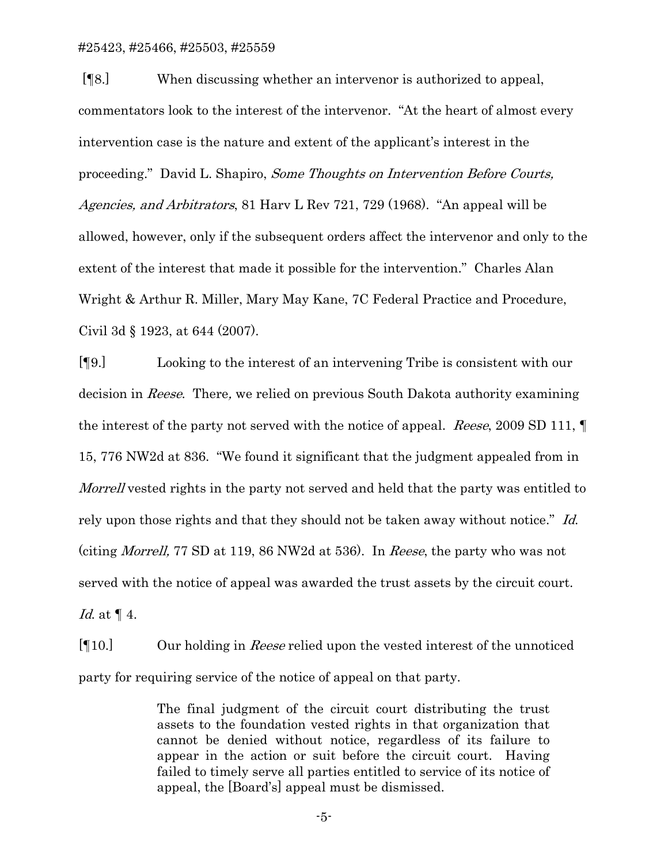[¶8.] When discussing whether an intervenor is authorized to appeal, commentators look to the interest of the intervenor. "At the heart of almost every intervention case is the nature and extent of the applicant's interest in the proceeding." David L. Shapiro, Some Thoughts on Intervention Before Courts, Agencies, and Arbitrators, 81 Harv L Rev 721, 729 (1968). "An appeal will be allowed, however, only if the subsequent orders affect the intervenor and only to the extent of the interest that made it possible for the intervention." Charles Alan Wright & Arthur R. Miller, Mary May Kane, 7C Federal Practice and Procedure, Civil 3d § 1923, at 644 (2007).

[¶9.] Looking to the interest of an intervening Tribe is consistent with our decision in Reese. There, we relied on previous South Dakota authority examining the interest of the party not served with the notice of appeal. Reese, 2009 SD 111, ¶ 15, 776 NW2d at 836. "We found it significant that the judgment appealed from in Morrell vested rights in the party not served and held that the party was entitled to rely upon those rights and that they should not be taken away without notice." Id. (citing Morrell, 77 SD at 119, 86 NW2d at 536). In Reese, the party who was not served with the notice of appeal was awarded the trust assets by the circuit court. Id. at ¶ 4.

[¶10.] Our holding in Reese relied upon the vested interest of the unnoticed party for requiring service of the notice of appeal on that party.

> The final judgment of the circuit court distributing the trust assets to the foundation vested rights in that organization that cannot be denied without notice, regardless of its failure to appear in the action or suit before the circuit court. Having failed to timely serve all parties entitled to service of its notice of appeal, the [Board's] appeal must be dismissed.

> > -5-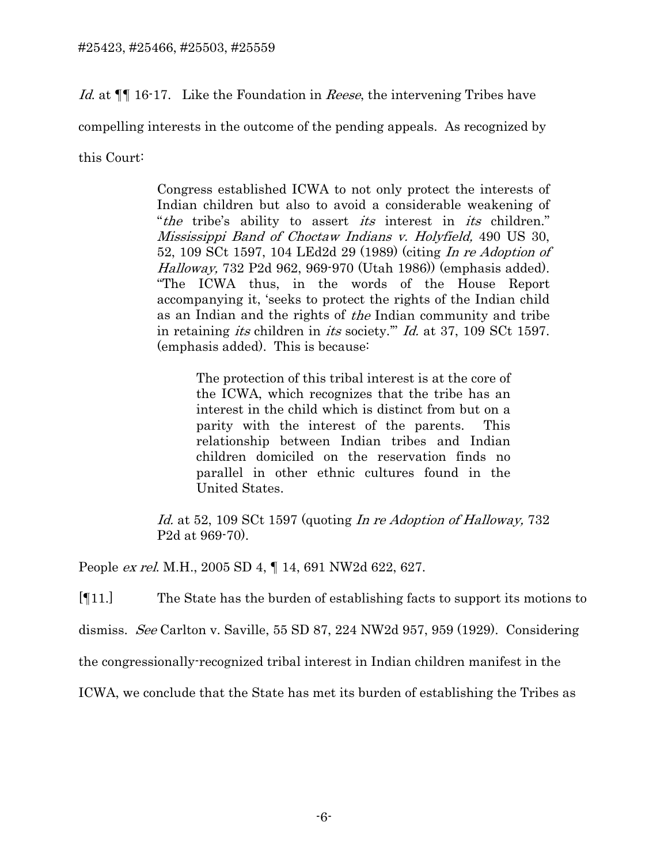Id. at  $\P$  16-17. Like the Foundation in *Reese*, the intervening Tribes have

compelling interests in the outcome of the pending appeals. As recognized by

this Court:

Congress established ICWA to not only protect the interests of Indian children but also to avoid a considerable weakening of "the tribe's ability to assert *its* interest in *its* children." Mississippi Band of Choctaw Indians v. Holyfield, 490 US 30, 52, 109 SCt 1597, 104 LEd2d 29 (1989) (citing In re Adoption of Halloway, 732 P2d 962, 969-970 (Utah 1986)) (emphasis added). "The ICWA thus, in the words of the House Report accompanying it, 'seeks to protect the rights of the Indian child as an Indian and the rights of the Indian community and tribe in retaining *its* children in *its* society." *Id.* at 37, 109 SCt 1597. (emphasis added). This is because:

The protection of this tribal interest is at the core of the ICWA, which recognizes that the tribe has an interest in the child which is distinct from but on a parity with the interest of the parents. This relationship between Indian tribes and Indian children domiciled on the reservation finds no parallel in other ethnic cultures found in the United States.

Id. at 52, 109 SCt 1597 (quoting In re Adoption of Halloway, 732 P2d at 969-70).

People ex rel. M.H., 2005 SD 4, ¶ 14, 691 NW2d 622, 627.

[¶11.] The State has the burden of establishing facts to support its motions to

dismiss. See Carlton v. Saville, 55 SD 87, 224 NW2d 957, 959 (1929). Considering

the congressionally-recognized tribal interest in Indian children manifest in the

ICWA, we conclude that the State has met its burden of establishing the Tribes as